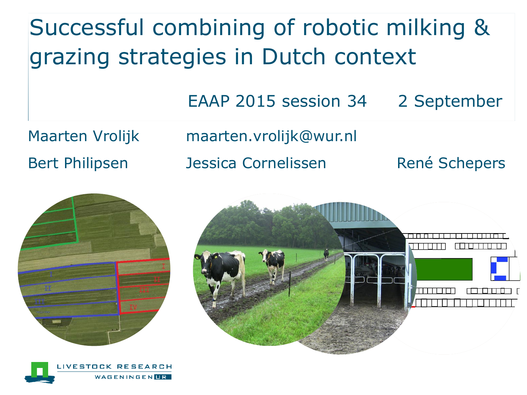Successful combining of robotic milking & grazing strategies in Dutch context

EAAP 2015 session 34 2 September

Maarten Vrolijk maarten.vrolijk@wur.nl

Bert Philipsen dessica Cornelissen René Schepers





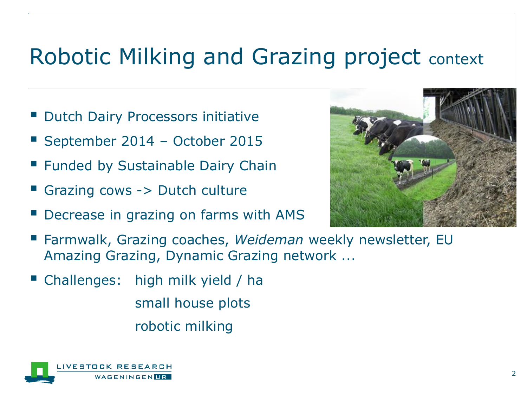#### Robotic Milking and Grazing project context

- Dutch Dairy Processors initiative
- September 2014 October 2015
- **Example Bustainable Dairy Chain**
- Grazing cows -> Dutch culture
- Decrease in grazing on farms with AMS



- Farmwalk, Grazing coaches, *Weideman* weekly newsletter, EU Amazing Grazing, Dynamic Grazing network ...
- Challenges: high milk yield / ha small house plots robotic milking

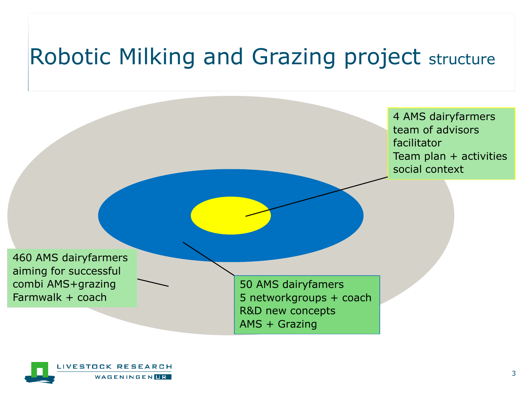#### Robotic Milking and Grazing project structure

4 AMS dairyfarmers team of advisors facilitator Team plan + activities social context

460 AMS dairyfarmers aiming for successful combi AMS+grazing Farmwalk + coach

50 AMS dairyfamers 5 networkgroups + coach R&D new concepts AMS + Grazing

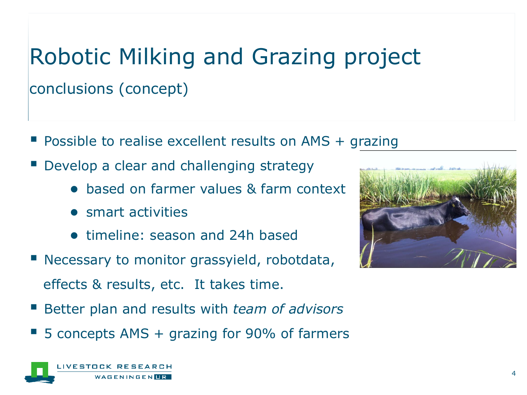# Robotic Milking and Grazing project conclusions (concept)

- **Possible to realise excellent results on AMS + grazing**
- Develop a clear and challenging strategy
	- based on farmer values & farm context
	- smart activities
	- timeline: season and 24h based
- **Necessary to monitor grassyield, robotdata,** effects & results, etc. It takes time.
- Better plan and results with *team of advisors*
- 5 concepts AMS + grazing for 90% of farmers



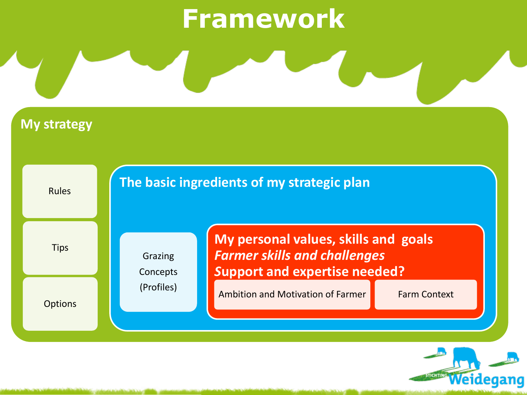# **Framework**

**My strategy** 

Rules **Tips Options The basic ingredients of my strategic plan**  Grazing Concepts (Profiles) **My personal values, skills and goals**  *Farmer skills and challenges S***upport and expertise needed?** Ambition and Motivation of Farmer Farm Context

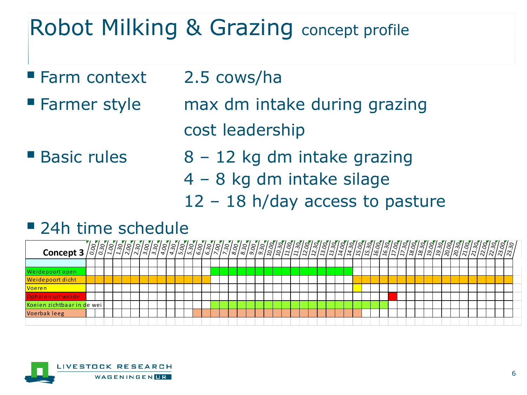### Robot Milking & Grazing concept profile

- **Farm context 2.5 cows/haller**
- 
- **Farmer style max dm intake during grazing** cost leadership
- 

■ Basic rules 8 – 12 kg dm intake grazing 4 – 8 kg dm intake silage

12 – 18 h/day access to pasture

#### ■ 24h time schedule



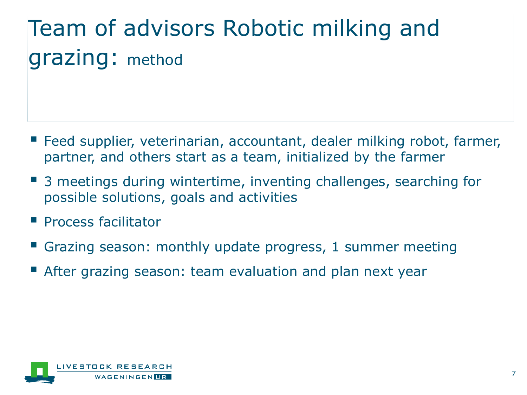# Team of advisors Robotic milking and grazing: method

- Feed supplier, veterinarian, accountant, dealer milking robot, farmer, partner, and others start as a team, initialized by the farmer
- 3 meetings during wintertime, inventing challenges, searching for possible solutions, goals and activities
- Process facilitator
- Grazing season: monthly update progress, 1 summer meeting
- After grazing season: team evaluation and plan next year

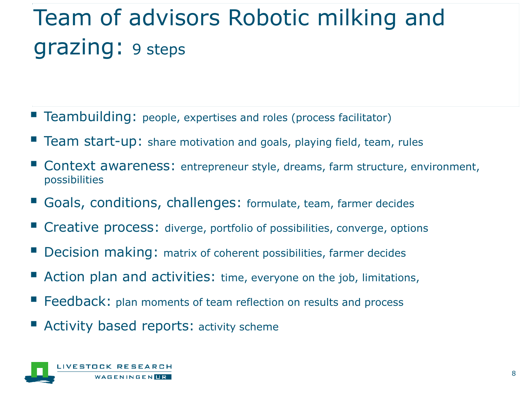## Team of advisors Robotic milking and grazing: 9 steps

- **Teambuilding:** people, expertises and roles (process facilitator)
- **Team start-up:** share motivation and goals, playing field, team, rules
- Context awareness: entrepreneur style, dreams, farm structure, environment, possibilities
- Goals, conditions, challenges: formulate, team, farmer decides
- Creative process: diverge, portfolio of possibilities, converge, options
- Decision making: matrix of coherent possibilities, farmer decides
- Action plan and activities: time, everyone on the job, limitations,
- **Feedback:** plan moments of team reflection on results and process
- Activity based reports: activity scheme

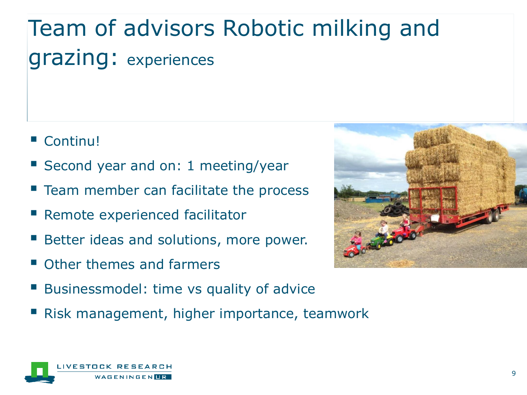# Team of advisors Robotic milking and grazing: experiences

- Continu!
- Second year and on: 1 meeting/year
- **Team member can facilitate the process**
- Remote experienced facilitator
- Better ideas and solutions, more power.
- Other themes and farmers
- Businessmodel: time vs quality of advice
- Risk management, higher importance, teamwork



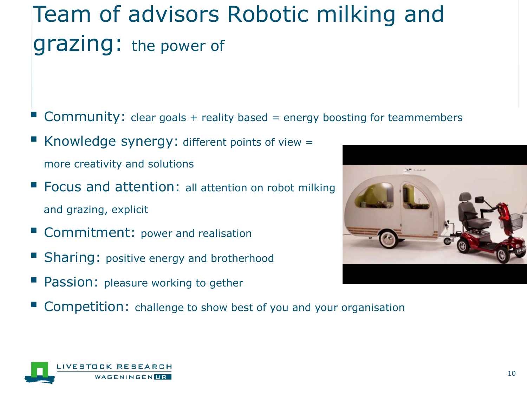## Team of advisors Robotic milking and grazing: the power of

- Community: clear goals + reality based = energy boosting for teammembers
- Knowledge synergy: different points of view = more creativity and solutions
- **Focus and attention: all attention on robot milking** and grazing, explicit
- Commitment: power and realisation
- Sharing: positive energy and brotherhood
- Passion: pleasure working to gether
- Competition: challenge to show best of you and your organisation



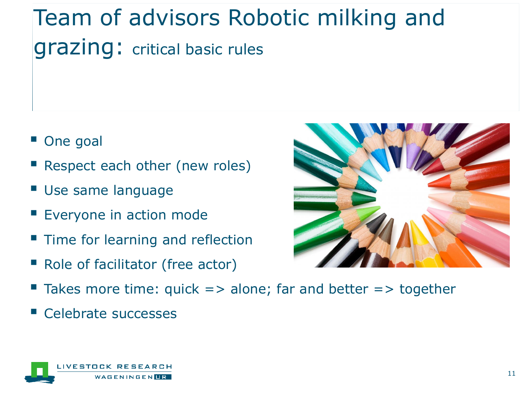## Team of advisors Robotic milking and grazing: critical basic rules

- One goal
- Respect each other (new roles)
- Use same language
- Everyone in action mode
- **Time for learning and reflection**
- Role of facilitator (free actor)



Celebrate successes